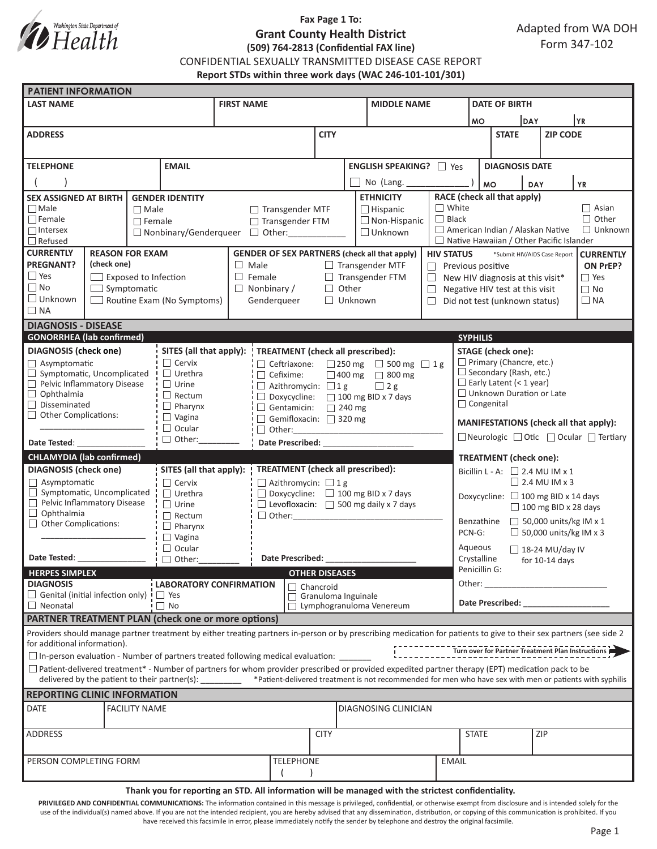

## **Fax Page 1 To: Grant County Health District (509) 764-2813 (Confidential FAX line)**

CONFIDENTIAL SEXUALLY TRANSMITTED DISEASE CASE REPORT

**Report STDs within three work days (WAC 246-101-101/301)**

| <b>PATIENT INFORMATION</b>                                                                                                                                          |                                                                                                                                                               |                      |                                                                                |                                                                                        |                                                                                                     |                                 |                                                |                                           |                                                                    |                                                                                                                                                                                                                                |                                                                    |                                                                                                                                                                                                                                |                        |              |  |  |
|---------------------------------------------------------------------------------------------------------------------------------------------------------------------|---------------------------------------------------------------------------------------------------------------------------------------------------------------|----------------------|--------------------------------------------------------------------------------|----------------------------------------------------------------------------------------|-----------------------------------------------------------------------------------------------------|---------------------------------|------------------------------------------------|-------------------------------------------|--------------------------------------------------------------------|--------------------------------------------------------------------------------------------------------------------------------------------------------------------------------------------------------------------------------|--------------------------------------------------------------------|--------------------------------------------------------------------------------------------------------------------------------------------------------------------------------------------------------------------------------|------------------------|--------------|--|--|
| <b>LAST NAME</b>                                                                                                                                                    |                                                                                                                                                               |                      |                                                                                | <b>FIRST NAME</b>                                                                      |                                                                                                     |                                 |                                                |                                           | <b>MIDDLE NAME</b>                                                 |                                                                                                                                                                                                                                |                                                                    | <b>DATE OF BIRTH</b>                                                                                                                                                                                                           |                        |              |  |  |
|                                                                                                                                                                     |                                                                                                                                                               |                      |                                                                                |                                                                                        |                                                                                                     |                                 |                                                |                                           |                                                                    |                                                                                                                                                                                                                                |                                                                    | DAY<br><b>MO</b>                                                                                                                                                                                                               |                        | YR           |  |  |
| <b>ADDRESS</b>                                                                                                                                                      |                                                                                                                                                               |                      |                                                                                |                                                                                        |                                                                                                     | <b>CITY</b>                     |                                                |                                           |                                                                    |                                                                                                                                                                                                                                | <b>STATE</b>                                                       |                                                                                                                                                                                                                                | <b>ZIP CODE</b>        |              |  |  |
|                                                                                                                                                                     |                                                                                                                                                               |                      |                                                                                |                                                                                        |                                                                                                     |                                 |                                                |                                           |                                                                    |                                                                                                                                                                                                                                |                                                                    |                                                                                                                                                                                                                                |                        |              |  |  |
| <b>TELEPHONE</b><br><b>EMAIL</b>                                                                                                                                    |                                                                                                                                                               |                      |                                                                                |                                                                                        |                                                                                                     |                                 | <b>ENGLISH SPEAKING?</b> □ Yes                 |                                           |                                                                    |                                                                                                                                                                                                                                | <b>DIAGNOSIS DATE</b>                                              |                                                                                                                                                                                                                                |                        |              |  |  |
|                                                                                                                                                                     |                                                                                                                                                               |                      |                                                                                |                                                                                        |                                                                                                     |                                 | No (Lang.                                      |                                           |                                                                    | <b>MO</b>                                                                                                                                                                                                                      |                                                                    | <b>YR</b><br><b>DAY</b>                                                                                                                                                                                                        |                        |              |  |  |
| <b>SEX ASSIGNED AT BIRTH</b><br><b>GENDER IDENTITY</b>                                                                                                              |                                                                                                                                                               |                      |                                                                                |                                                                                        |                                                                                                     |                                 | <b>ETHNICITY</b>                               | RACE (check all that apply)               |                                                                    |                                                                                                                                                                                                                                |                                                                    |                                                                                                                                                                                                                                |                        |              |  |  |
| $\Box$ Male                                                                                                                                                         |                                                                                                                                                               | $\Box$ Male          |                                                                                |                                                                                        | $\Box$ Transgender MTF                                                                              |                                 |                                                | $\Box$ Hispanic                           | $\Box$ White                                                       |                                                                                                                                                                                                                                |                                                                    |                                                                                                                                                                                                                                |                        | $\Box$ Asian |  |  |
| $\Box$ Female<br>$\Box$ Intersex                                                                                                                                    |                                                                                                                                                               | $\Box$ Female        |                                                                                |                                                                                        | □ Transgender FTM                                                                                   |                                 |                                                |                                           | $\Box$ Non-Hispanic                                                | $\Box$ Black                                                                                                                                                                                                                   | $\Box$ Other<br>American Indian / Alaskan Native<br>$\Box$ Unknown |                                                                                                                                                                                                                                |                        |              |  |  |
| $\Box$ Refused                                                                                                                                                      |                                                                                                                                                               |                      |                                                                                | $\Box$ Unknown<br>$\Box$ Nonbinary/Genderqueer $\Box$ Other:                           |                                                                                                     |                                 |                                                |                                           |                                                                    |                                                                                                                                                                                                                                | $\Box$ Native Hawaiian / Other Pacific Islander                    |                                                                                                                                                                                                                                |                        |              |  |  |
| <b>CURRENTLY</b><br><b>REASON FOR EXAM</b>                                                                                                                          |                                                                                                                                                               |                      |                                                                                | <b>GENDER OF SEX PARTNERS (check all that apply)</b>                                   |                                                                                                     |                                 |                                                |                                           |                                                                    | <b>HIV STATUS</b>                                                                                                                                                                                                              | *Submit HIV/AIDS Case Report<br><b>CURRENTLY</b>                   |                                                                                                                                                                                                                                |                        |              |  |  |
| <b>PREGNANT?</b><br>(check one)                                                                                                                                     |                                                                                                                                                               |                      |                                                                                | $\Box$ Male<br>$\Box$ Transgender MTF                                                  |                                                                                                     |                                 |                                                |                                           |                                                                    |                                                                                                                                                                                                                                | $\Box$ Previous positive<br>ON PrEP?                               |                                                                                                                                                                                                                                |                        |              |  |  |
| $\Box$ Yes<br>$\Box$ Exposed to Infection<br>$\Box$ No                                                                                                              |                                                                                                                                                               |                      |                                                                                | $\Box$ Female                                                                          |                                                                                                     |                                 | $\Box$ Transgender FTM<br>$\Box$ Other         |                                           |                                                                    | $\Box$                                                                                                                                                                                                                         | $\Box$ Yes<br>New HIV diagnosis at this visit*                     |                                                                                                                                                                                                                                |                        |              |  |  |
| $\Box$ Symptomatic<br>$\Box$ Unknown<br>Routine Exam (No Symptoms)                                                                                                  |                                                                                                                                                               |                      | $\Box$ Nonbinary /<br>Genderqueer<br>$\Box$ Unknown                            |                                                                                        |                                                                                                     |                                 | $\Box$<br>$\Box$                               |                                           |                                                                    | Negative HIV test at this visit<br>Did not test (unknown status)                                                                                                                                                               |                                                                    |                                                                                                                                                                                                                                | $\Box$ No<br>$\Box$ NA |              |  |  |
| $\Box$ NA                                                                                                                                                           |                                                                                                                                                               |                      |                                                                                |                                                                                        |                                                                                                     |                                 |                                                |                                           |                                                                    |                                                                                                                                                                                                                                |                                                                    |                                                                                                                                                                                                                                |                        |              |  |  |
| <b>DIAGNOSIS - DISEASE</b>                                                                                                                                          |                                                                                                                                                               |                      |                                                                                |                                                                                        |                                                                                                     |                                 |                                                |                                           |                                                                    |                                                                                                                                                                                                                                |                                                                    |                                                                                                                                                                                                                                |                        |              |  |  |
| <b>GONORRHEA</b> (lab confirmed)                                                                                                                                    |                                                                                                                                                               |                      |                                                                                |                                                                                        |                                                                                                     |                                 |                                                |                                           |                                                                    |                                                                                                                                                                                                                                | <b>SYPHILIS</b>                                                    |                                                                                                                                                                                                                                |                        |              |  |  |
| <b>DIAGNOSIS</b> (check one)                                                                                                                                        |                                                                                                                                                               |                      |                                                                                | SITES (all that apply):<br>TREATMENT (check all prescribed):                           |                                                                                                     |                                 |                                                |                                           |                                                                    |                                                                                                                                                                                                                                | <b>STAGE</b> (check one):                                          |                                                                                                                                                                                                                                |                        |              |  |  |
| $\Box$ Asymptomatic<br>Symptomatic, Uncomplicated<br>⊔                                                                                                              |                                                                                                                                                               |                      | $\Box$ Cervix<br>□ Ceftriaxone:<br>$\Box$ Urethra                              |                                                                                        |                                                                                                     |                                 |                                                | $\Box$ 250 mg<br>$\Box$ 500 mg $\Box$ 1 g |                                                                    |                                                                                                                                                                                                                                | $\Box$ Primary (Chancre, etc.)<br>$\Box$ Secondary (Rash, etc.)    |                                                                                                                                                                                                                                |                        |              |  |  |
| Pelvic Inflammatory Disease                                                                                                                                         |                                                                                                                                                               |                      | $\Box$ Urine                                                                   | $\Box$ Cefixime:<br>□ 400 mg □ 800 mg<br>$\Box$ 2 g<br>$\Box$ Azithromycin: $\Box$ 1 g |                                                                                                     |                                 |                                                |                                           |                                                                    |                                                                                                                                                                                                                                | $\Box$ Early Latent (< 1 year)                                     |                                                                                                                                                                                                                                |                        |              |  |  |
| $\Box$<br>Ophthalmia                                                                                                                                                |                                                                                                                                                               |                      | $\Box$ Rectum                                                                  |                                                                                        |                                                                                                     |                                 | $\Box$ Doxycycline: $\Box$ 100 mg BID x 7 days |                                           |                                                                    |                                                                                                                                                                                                                                | □ Unknown Duration or Late                                         |                                                                                                                                                                                                                                |                        |              |  |  |
| Disseminated<br><b>Other Complications:</b>                                                                                                                         |                                                                                                                                                               |                      | $\Box$ Pharynx                                                                 | $\Box$ Gentamicin:<br>$\Box$ 240 mg                                                    |                                                                                                     |                                 |                                                |                                           |                                                                    |                                                                                                                                                                                                                                | $\Box$ Congenital                                                  |                                                                                                                                                                                                                                |                        |              |  |  |
|                                                                                                                                                                     |                                                                                                                                                               |                      | $\Box$ Vagina<br>Gemifloxacin: $\Box$ 320 mg<br>$\Box$ Ocular<br>$\Box$ Other: |                                                                                        |                                                                                                     |                                 |                                                |                                           |                                                                    |                                                                                                                                                                                                                                | MANIFESTATIONS (check all that apply):                             |                                                                                                                                                                                                                                |                        |              |  |  |
| $\Box$ Other:<br>Date Tested:                                                                                                                                       |                                                                                                                                                               |                      | <b>Date Prescribed:</b>                                                        |                                                                                        |                                                                                                     |                                 |                                                |                                           |                                                                    | □ Neurologic □ Otic □ Ocular □ Tertiary                                                                                                                                                                                        |                                                                    |                                                                                                                                                                                                                                |                        |              |  |  |
| <b>CHLAMYDIA (lab confirmed)</b>                                                                                                                                    |                                                                                                                                                               |                      |                                                                                |                                                                                        |                                                                                                     |                                 |                                                |                                           |                                                                    |                                                                                                                                                                                                                                | <b>TREATMENT</b> (check one):                                      |                                                                                                                                                                                                                                |                        |              |  |  |
| <b>DIAGNOSIS</b> (check one)                                                                                                                                        |                                                                                                                                                               |                      | SITES (all that apply):                                                        | TREATMENT (check all prescribed):                                                      |                                                                                                     |                                 |                                                |                                           |                                                                    |                                                                                                                                                                                                                                | Bicillin L - A: $\Box$ 2.4 MU IM x 1                               |                                                                                                                                                                                                                                |                        |              |  |  |
| $\Box$ Asymptomatic                                                                                                                                                 |                                                                                                                                                               |                      | $\Box$ Cervix                                                                  |                                                                                        |                                                                                                     | $\Box$ Azithromycin: $\Box$ 1 g |                                                |                                           |                                                                    |                                                                                                                                                                                                                                | $\Box$ 2.4 MU IM x 3                                               |                                                                                                                                                                                                                                |                        |              |  |  |
| $\Box$ Symptomatic, Uncomplicated<br>Pelvic Inflammatory Disease                                                                                                    |                                                                                                                                                               |                      | $\Box$ Urethra<br>$\Box$ Urine                                                 |                                                                                        | $\Box$ Doxycycline: $\Box$ 100 mg BID x 7 days<br>$\Box$ Levofloxacin: $\Box$ 500 mg daily x 7 days |                                 |                                                |                                           |                                                                    | Doxycycline: $\Box$ 100 mg BID x 14 days                                                                                                                                                                                       |                                                                    |                                                                                                                                                                                                                                |                        |              |  |  |
| $\Box$ Ophthalmia                                                                                                                                                   |                                                                                                                                                               |                      | $\Box$ Rectum                                                                  | $\Box$ Other:                                                                          |                                                                                                     |                                 |                                                |                                           |                                                                    |                                                                                                                                                                                                                                | $\Box$ 100 mg BID x 28 days                                        |                                                                                                                                                                                                                                |                        |              |  |  |
| $\Box$ Other Complications:                                                                                                                                         |                                                                                                                                                               |                      | $\Box$ Pharynx                                                                 |                                                                                        |                                                                                                     |                                 |                                                |                                           |                                                                    |                                                                                                                                                                                                                                | $\Box$ 50,000 units/kg IM x 1<br>Benzathine                        |                                                                                                                                                                                                                                |                        |              |  |  |
|                                                                                                                                                                     |                                                                                                                                                               |                      | $\Box$ Vagina                                                                  |                                                                                        |                                                                                                     |                                 |                                                |                                           |                                                                    |                                                                                                                                                                                                                                | $\Box$ 50,000 units/kg IM x 3<br>PCN-G:                            |                                                                                                                                                                                                                                |                        |              |  |  |
| $\Box$ Ocular<br>Date Tested:<br>$\Box$ Other:                                                                                                                      |                                                                                                                                                               |                      | <b>Date Prescribed:</b>                                                        |                                                                                        |                                                                                                     |                                 |                                                |                                           | Aqueous<br>$\Box$ 18-24 MU/day IV<br>Crystalline<br>for 10-14 days |                                                                                                                                                                                                                                |                                                                    |                                                                                                                                                                                                                                |                        |              |  |  |
| <b>HERPES SIMPLEX</b>                                                                                                                                               |                                                                                                                                                               |                      |                                                                                | <b>OTHER DISEASES</b>                                                                  |                                                                                                     |                                 |                                                |                                           |                                                                    | Penicillin G:                                                                                                                                                                                                                  |                                                                    |                                                                                                                                                                                                                                |                        |              |  |  |
| <b>DIAGNOSIS</b><br>LABORATORY CONFIRMATION                                                                                                                         |                                                                                                                                                               |                      |                                                                                | $\sqsupset$ Chancroid                                                                  |                                                                                                     |                                 |                                                |                                           |                                                                    | Other:<br><u> 1990 - Johann Barnett, mars et al.</u>                                                                                                                                                                           |                                                                    |                                                                                                                                                                                                                                |                        |              |  |  |
| $\Box$ Genital (initial infection only) $\Box$ Yes                                                                                                                  |                                                                                                                                                               |                      |                                                                                |                                                                                        |                                                                                                     | Granuloma Inguinale             |                                                |                                           |                                                                    |                                                                                                                                                                                                                                |                                                                    | Date Prescribed: Note that the present of the state of the state of the state of the state of the state of the state of the state of the state of the state of the state of the state of the state of the state of the state o |                        |              |  |  |
| $\Box$ No<br>$\Box$ Neonatal<br><b>PARTNER TREATMENT PLAN (check one or more options)</b>                                                                           |                                                                                                                                                               |                      |                                                                                |                                                                                        |                                                                                                     | $\Box$ Lymphogranuloma Venereum |                                                |                                           |                                                                    |                                                                                                                                                                                                                                |                                                                    |                                                                                                                                                                                                                                |                        |              |  |  |
| Providers should manage partner treatment by either treating partners in-person or by prescribing medication for patients to give to their sex partners (see side 2 |                                                                                                                                                               |                      |                                                                                |                                                                                        |                                                                                                     |                                 |                                                |                                           |                                                                    |                                                                                                                                                                                                                                |                                                                    |                                                                                                                                                                                                                                |                        |              |  |  |
| for additional information).                                                                                                                                        |                                                                                                                                                               |                      |                                                                                |                                                                                        |                                                                                                     |                                 |                                                |                                           |                                                                    |                                                                                                                                                                                                                                |                                                                    |                                                                                                                                                                                                                                |                        |              |  |  |
| $\square$ In-person evaluation - Number of partners treated following medical evaluation: $\square$                                                                 |                                                                                                                                                               |                      |                                                                                |                                                                                        |                                                                                                     |                                 |                                                |                                           |                                                                    | The contract of the contract of the contract of the contract of the contract of the contract of the contract of the contract of the contract of the contract of the contract of the contract of the contract of the contract o |                                                                    |                                                                                                                                                                                                                                |                        |              |  |  |
| $\Box$ Patient-delivered treatment* - Number of partners for whom provider prescribed or provided expedited partner therapy (EPT) medication pack to be             |                                                                                                                                                               |                      |                                                                                |                                                                                        |                                                                                                     |                                 |                                                |                                           |                                                                    |                                                                                                                                                                                                                                |                                                                    |                                                                                                                                                                                                                                |                        |              |  |  |
|                                                                                                                                                                     | delivered by the patient to their partner(s): _______ *Patient-delivered treatment is not recommended for men who have sex with men or patients with syphilis |                      |                                                                                |                                                                                        |                                                                                                     |                                 |                                                |                                           |                                                                    |                                                                                                                                                                                                                                |                                                                    |                                                                                                                                                                                                                                |                        |              |  |  |
| <b>REPORTING CLINIC INFORMATION</b>                                                                                                                                 |                                                                                                                                                               |                      |                                                                                |                                                                                        |                                                                                                     |                                 |                                                |                                           |                                                                    |                                                                                                                                                                                                                                |                                                                    |                                                                                                                                                                                                                                |                        |              |  |  |
| <b>DATE</b>                                                                                                                                                         | <b>FACILITY NAME</b>                                                                                                                                          | DIAGNOSING CLINICIAN |                                                                                |                                                                                        |                                                                                                     |                                 |                                                |                                           |                                                                    |                                                                                                                                                                                                                                |                                                                    |                                                                                                                                                                                                                                |                        |              |  |  |
|                                                                                                                                                                     |                                                                                                                                                               |                      |                                                                                |                                                                                        |                                                                                                     |                                 |                                                |                                           |                                                                    |                                                                                                                                                                                                                                |                                                                    |                                                                                                                                                                                                                                |                        |              |  |  |
| <b>ADDRESS</b>                                                                                                                                                      |                                                                                                                                                               |                      |                                                                                |                                                                                        |                                                                                                     |                                 | <b>CITY</b>                                    |                                           |                                                                    |                                                                                                                                                                                                                                | <b>STATE</b>                                                       |                                                                                                                                                                                                                                |                        | ZIP          |  |  |
| <b>TELEPHONE</b><br>PERSON COMPLETING FORM                                                                                                                          |                                                                                                                                                               |                      |                                                                                |                                                                                        |                                                                                                     |                                 |                                                | <b>EMAIL</b>                              |                                                                    |                                                                                                                                                                                                                                |                                                                    |                                                                                                                                                                                                                                |                        |              |  |  |
|                                                                                                                                                                     |                                                                                                                                                               |                      |                                                                                |                                                                                        |                                                                                                     |                                 |                                                |                                           |                                                                    |                                                                                                                                                                                                                                |                                                                    |                                                                                                                                                                                                                                |                        |              |  |  |
|                                                                                                                                                                     |                                                                                                                                                               |                      |                                                                                |                                                                                        |                                                                                                     |                                 |                                                |                                           |                                                                    |                                                                                                                                                                                                                                |                                                                    |                                                                                                                                                                                                                                |                        |              |  |  |

**Thank you for reporting an STD. All information will be managed with the strictest confidentiality.** 

PRIVILEGED AND CONFIDENTIAL COMMUNICATIONS: The information contained in this message is privileged, confidential, or otherwise exempt from disclosure and is intended solely for the use of the individual(s) named above. If you are not the intended recipient, you are hereby advised that any dissemination, distribution, or copying of this communication is prohibited. If you have received this facsimile in error, please immediately notify the sender by telephone and destroy the original facsimile.